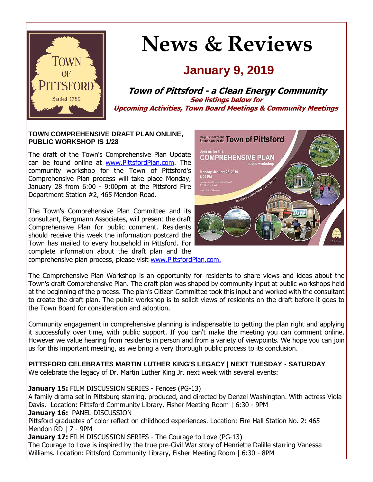

# **News & Reviews**

## **January 9, 2019**

**Town of Pittsford - a Clean Energy Community See listings below for Upcoming Activities, Town Board Meetings & Community Meetings**

#### **TOWN COMPREHENSIVE DRAFT PLAN ONLINE, PUBLIC WORKSHOP IS 1/28**

The draft of the Town's Comprehensive Plan Update can be found online at [www.PittsfordPlan.com.](http://r20.rs6.net/tn.jsp?f=001o63ukUOisP6LNkk-U4I1vtsa1n73SYKzNv3ftaXviHsU7Fb1vz6w-dtoId6RnOGhkkU_j73ZBVvlXp8_2RutsiUsOSsr2FziRlcEIpQii3wz3X-Jw_opYgbEFkP9ztcGFjcKFFqsNaf8mUVcpjwrDu5xvk7OSNXCQtvM03Ex6vFzyKg1VxYhhlv4HdK_rAP0rvKFTYBE-180gZ6_kDz_zyIWW7MGMRh7ATlyYiXBwhFIp2Vjgm0ZwhE7haBFf2iY7Itu9RXDJ4DY35WhZA-y6gSOCoNoy3bTmq37GokI8Kg=&c=hohcuPmplrcUA9vEYFCFtom0MavQdksQubODPiGVziYrt_jBDTykZg==&ch=zlmb3T3M-CPaHLwooPCnmdGDnCkvxYOLTqTwKjtppLjog6dVwmsloA==) The community workshop for the Town of Pittsford's Comprehensive Plan process will take place Monday, January 28 from 6:00 - 9:00pm at the Pittsford Fire Department Station #2, 465 Mendon Road.

The Town's Comprehensive Plan Committee and its consultant, Bergmann Associates, will present the draft Comprehensive Plan for public comment. Residents should receive this week the information postcard the Town has mailed to every household in Pittsford. For complete information about the draft plan and the comprehensive plan process, please visit [www.PittsfordPlan.com.](http://r20.rs6.net/tn.jsp?f=001o63ukUOisP6LNkk-U4I1vtsa1n73SYKzNv3ftaXviHsU7Fb1vz6w-dtoId6RnOGhj9zT4TBG981vjivmimWCS9YAqfTzlKD_QJ-dULczfE0TceS04AKPNWTgdJd0DFk13_0GUe885B28PLq79vpp1qlgVpEYahKKpRBcSK0aKl4CqIWMoxhuhV_B6pknHXEIkZ9ItidPKIRjujUv4XaZYbTyCJtg9sN_VGzzq283v0CuJqCLB16CKEp04IA250L6VYniavdlZPKgAqwFcZ_ejLWnSGW_YsSmBjc9JKaM5qk=&c=hohcuPmplrcUA9vEYFCFtom0MavQdksQubODPiGVziYrt_jBDTykZg==&ch=zlmb3T3M-CPaHLwooPCnmdGDnCkvxYOLTqTwKjtppLjog6dVwmsloA==)



The Comprehensive Plan Workshop is an opportunity for residents to share views and ideas about the Town's draft Comprehensive Plan. The draft plan was shaped by community input at public workshops held at the beginning of the process. The plan's Citizen Committee took this input and worked with the consultant to create the draft plan. The public workshop is to solicit views of residents on the draft before it goes to the Town Board for consideration and adoption.

Community engagement in comprehensive planning is indispensable to getting the plan right and applying it successfully over time, with public support. If you can't make the meeting you can comment online. However we value hearing from residents in person and from a variety of viewpoints. We hope you can join us for this important meeting, as we bring a very thorough public process to its conclusion.

**PITTSFORD CELEBRATES MARTIN LUTHER KING'S LEGACY | NEXT TUESDAY - SATURDAY** We celebrate the legacy of Dr. Martin Luther King Jr. next week with several events:

**January 15:** FILM DISCUSSION SERIES - Fences (PG-13) A family drama set in Pittsburg starring, produced, and directed by Denzel Washington. With actress Viola Davis. Location: Pittsford Community Library, Fisher Meeting Room | 6:30 - 9PM **January 16:** PANEL DISCUSSION Pittsford graduates of color reflect on childhood experiences. Location: Fire Hall Station No. 2: 465 Mendon RD | 7 - 9PM **January 17: FILM DISCUSSION SERIES - The Courage to Love (PG-13)** The Courage to Love is inspired by the true pre-Civil War story of Henriette Dalille starring Vanessa Williams. Location: Pittsford Community Library, Fisher Meeting Room | 6:30 - 8PM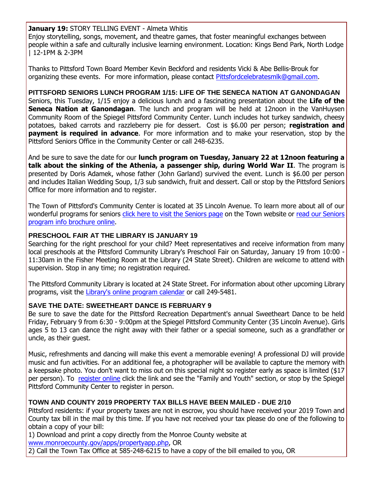**January 19:** STORY TELLING EVENT - Almeta Whitis

Enjoy storytelling, songs, movement, and theatre games, that foster meaningful exchanges between people within a safe and culturally inclusive learning environment. Location: Kings Bend Park, North Lodge | 12-1PM & 2-3PM

Thanks to Pittsford Town Board Member Kevin Beckford and residents Vicki & Abe Bellis-Brouk for organizing these events. For more information, please contact [Pittsfordcelebratesmlk@gmail.com.](mailto:Pittsfordcelebratesmlk@gmail.com)

**PITTSFORD SENIORS LUNCH PROGRAM 1/15: LIFE OF THE SENECA NATION AT GANONDAGAN** Seniors, this Tuesday, 1/15 enjoy a delicious lunch and a fascinating presentation about the **Life of the Seneca Nation at Ganondagan**. The lunch and program will be held at 12noon in the VanHuysen Community Room of the Spiegel Pittsford Community Center. Lunch includes hot turkey sandwich, cheesy potatoes, baked carrots and razzleberry pie for dessert. Cost is \$6.00 per person; **registration and payment is required in advance**. For more information and to make your reservation, stop by the Pittsford Seniors Office in the Community Center or call 248-6235.

And be sure to save the date for our **lunch program on Tuesday, January 22 at 12noon featuring a talk about the sinking of the Athenia, a passenger ship, during World War II**. The program is presented by Doris Adamek, whose father (John Garland) survived the event. Lunch is \$6.00 per person and includes Italian Wedding Soup, 1/3 sub sandwich, fruit and dessert. Call or stop by the Pittsford Seniors Office for more information and to register.

The Town of Pittsford's Community Center is located at 35 Lincoln Avenue. To learn more about all of our wonderful programs for seniors [click here to visit the Seniors page](http://r20.rs6.net/tn.jsp?f=001o63ukUOisP6LNkk-U4I1vtsa1n73SYKzNv3ftaXviHsU7Fb1vz6w-QJa5rgBQtgZ3daVfceA1zmMwq6x35M2ON9GTI9HYNo1oIevn34zobxLahibDD0tSudFWricZ88cMISaCeaOoAkcb61JIDr6Rw845k-s7xmjZc7i4vN61ZNTRpTCxoTHdF-5xHlOTNHKFAOH_XMHYzAu7g8ajwc-7cL1BhnNZSyWmzgXkOjAAKXOs4KfDqaf0ZEoPNV0Jht2AtujiHE9iKPO3Re8DMBxo2hpXVC_vsPC1SdzE1EMHk8z6OuH1EOLPg==&c=hohcuPmplrcUA9vEYFCFtom0MavQdksQubODPiGVziYrt_jBDTykZg==&ch=zlmb3T3M-CPaHLwooPCnmdGDnCkvxYOLTqTwKjtppLjog6dVwmsloA==) on the Town website or read our Seniors [program info brochure online.](http://r20.rs6.net/tn.jsp?f=001o63ukUOisP6LNkk-U4I1vtsa1n73SYKzNv3ftaXviHsU7Fb1vz6w-bkIEZvfb3jNemlGdeeYaFJ5UCOx2-tI_ukg9HB8xwn-aANKWAXgIgAkLNgf9_uhPKR0qA1BRL4KZVgWycNXtRqLS5i-xnm-INJeR1WP1RffvI9pk35xkw9rHkeJ1zoWUQHiuJTay1zMH_ESw5DxS6Juwb_kefnQ_iiYN0Q5i9JtZpOQ-jNjoSD1xs0XSuQbCFFVxo1mCtlIcyt6Feqjw4Wcd2UNnGw1AnLCbw1Cz2I1TkGstgK_bX6J7H9vN0QNPfbMC2TyYN3CHdUhvYbEMbqJ6tSIoDAC6wqWkt7VlloHvV517OwG1A8=&c=hohcuPmplrcUA9vEYFCFtom0MavQdksQubODPiGVziYrt_jBDTykZg==&ch=zlmb3T3M-CPaHLwooPCnmdGDnCkvxYOLTqTwKjtppLjog6dVwmsloA==)

#### **PRESCHOOL FAIR AT THE LIBRARY IS JANUARY 19**

Searching for the right preschool for your child? Meet representatives and receive information from many local preschools at the Pittsford Community Library's Preschool Fair on Saturday, January 19 from 10:00 - 11:30am in the Fisher Meeting Room at the Library (24 State Street). Children are welcome to attend with supervision. Stop in any time; no registration required.

The Pittsford Community Library is located at 24 State Street. For information about other upcoming Library programs, visit the [Library's online program calendar](http://r20.rs6.net/tn.jsp?f=001o63ukUOisP6LNkk-U4I1vtsa1n73SYKzNv3ftaXviHsU7Fb1vz6w-SvOwdhW9hfp2P25VKId_Y0_KS28RUMHek-lWEcymPWE523KzYmhRV1JGZEiWCzFp2YxHzBDc3Xtlnogta0FanY5NbKoIAvAQ_5_vwIexUcQvTXNEu3wUY2TwbgMjmfO6_geA9lMbFhZQfHF8njFqCcGilPyWPgk5mzuPeOFWfdd8C9g9DBYUbP3jV1MXiyqYv9rN-tcP00eAvNMATXWpsPjyEU4XZ__qRwWKslJmhdFgY0FMtZOvqgmRDregX8_ZsaLnoPUU8HYtv7FroRXysxjdrsifmeNPrM-S101bRNlT_u47U0f49kS5a99zmgOlX0ZFhapkAybVK1F2EYh_4YIQZTkTsnnWg==&c=hohcuPmplrcUA9vEYFCFtom0MavQdksQubODPiGVziYrt_jBDTykZg==&ch=zlmb3T3M-CPaHLwooPCnmdGDnCkvxYOLTqTwKjtppLjog6dVwmsloA==) or call 249-5481.

#### **SAVE THE DATE: SWEETHEART DANCE IS FEBRUARY 9**

Be sure to save the date for the Pittsford Recreation Department's annual Sweetheart Dance to be held Friday, February 9 from 6:30 - 9:00pm at the Spiegel Pittsford Community Center (35 Lincoln Avenue). Girls ages 5 to 13 can dance the night away with their father or a special someone, such as a grandfather or uncle, as their guest.

Music, refreshments and dancing will make this event a memorable evening! A professional DJ will provide music and fun activities. For an additional fee, a photographer will be available to capture the memory with a keepsake photo. You don't want to miss out on this special night so register early as space is limited (\$17 per person). To [register online](http://r20.rs6.net/tn.jsp?f=001o63ukUOisP6LNkk-U4I1vtsa1n73SYKzNv3ftaXviHsU7Fb1vz6w-cxcq3yhVXTIxaa3VFKQmT7lZYlv_KUikn4WTRo2-KiW8wDoDQmIAU9tlrzX4O0m_jy8mLtahw7_ENnW36i9gdv15BeEmrhAE0x5VKcCtWesrHqodPuyNwkpB-WBvvqZ2yMPufAU5euOvEZk2sbdP8wXkdQ-f0SCgwvybH7Dt3KTUHoS6cVuJz2BbkCk3phT1Uayyu1hf3F24BOH0QmRx83fvwOrbQ31jvf0X5WO98RTthnVS681MDCryd-j9PTLcu6ZKag44xaoTXfMTZYqK3mw-yjlvnotMG7sBhOkAqxV&c=hohcuPmplrcUA9vEYFCFtom0MavQdksQubODPiGVziYrt_jBDTykZg==&ch=zlmb3T3M-CPaHLwooPCnmdGDnCkvxYOLTqTwKjtppLjog6dVwmsloA==) click the link and see the "Family and Youth" section, or stop by the Spiegel Pittsford Community Center to register in person.

#### **TOWN AND COUNTY 2019 PROPERTY TAX BILLS HAVE BEEN MAILED - DUE 2/10**

Pittsford residents: if your property taxes are not in escrow, you should have received your 2019 Town and County tax bill in the mail by this time. If you have not received your tax please do one of the following to obtain a copy of your bill:

1) Download and print a copy directly from the Monroe County website at [www.monroecounty.gov/apps/propertyapp.php,](http://r20.rs6.net/tn.jsp?f=001o63ukUOisP6LNkk-U4I1vtsa1n73SYKzNv3ftaXviHsU7Fb1vz6w-e9HJmZU52tXo8_5gRJueqDSnLuj7lFpVrBduLtaUmqya6fKQ08MjFJfFeN_0Y_k4WWVVIMERPwiKDnwWx_OXLzDYiTz5sSS_3AmQIR4oVvAJ9GoJA4iWbruhZvESNaBuzey4LguXw3qtBEEosvfLH7ooQ4yjmtCALdXqlzQlzuhhh7D-HaTfVnc-TwZOCFbVfSCRro6GFQxf44ADKZY32-hkqz5Depn_So0Ag2UI28P-0K6fm_Wf2PNy5yKxEebrggKECOiraD0&c=hohcuPmplrcUA9vEYFCFtom0MavQdksQubODPiGVziYrt_jBDTykZg==&ch=zlmb3T3M-CPaHLwooPCnmdGDnCkvxYOLTqTwKjtppLjog6dVwmsloA==) OR

2) Call the Town Tax Office at 585-248-6215 to have a copy of the bill emailed to you, OR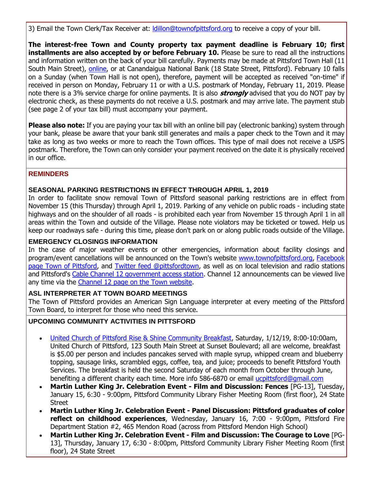3) Email the Town Clerk/Tax Receiver at: *Idillon@townofpittsford.org to receive a copy of your bill.* 

**The interest-free Town and County property tax payment deadline is February 10; first installments are also accepted by or before February 10.** Please be sure to read all the instructions and information written on the back of your bill carefully. Payments may be made at Pittsford Town Hall (11 South Main Street), [online,](http://r20.rs6.net/tn.jsp?f=001o63ukUOisP6LNkk-U4I1vtsa1n73SYKzNv3ftaXviHsU7Fb1vz6w-e9HJmZU52tXo8_5gRJueqDSnLuj7lFpVrBduLtaUmqya6fKQ08MjFJfFeN_0Y_k4WWVVIMERPwiKDnwWx_OXLzDYiTz5sSS_3AmQIR4oVvAJ9GoJA4iWbruhZvESNaBuzey4LguXw3qtBEEosvfLH7ooQ4yjmtCALdXqlzQlzuhhh7D-HaTfVnc-TwZOCFbVfSCRro6GFQxf44ADKZY32-hkqz5Depn_So0Ag2UI28P-0K6fm_Wf2PNy5yKxEebrggKECOiraD0&c=hohcuPmplrcUA9vEYFCFtom0MavQdksQubODPiGVziYrt_jBDTykZg==&ch=zlmb3T3M-CPaHLwooPCnmdGDnCkvxYOLTqTwKjtppLjog6dVwmsloA==) or at Canandaigua National Bank (18 State Street, Pittsford). February 10 falls on a Sunday (when Town Hall is not open), therefore, payment will be accepted as received "on-time" if received in person on Monday, February 11 or with a U.S. postmark of Monday, February 11, 2019. Please note there is a 3% service charge for online payments. It is also **strongly** advised that you do NOT pay by electronic check, as these payments do not receive a U.S. postmark and may arrive late. The payment stub (see page 2 of your tax bill) must accompany your payment.

**Please also note:** If you are paying your tax bill with an online bill pay (electronic banking) system through your bank, please be aware that your bank still generates and mails a paper check to the Town and it may take as long as two weeks or more to reach the Town offices. This type of mail does not receive a USPS postmark. Therefore, the Town can only consider your payment received on the date it is physically received in our office.

#### **REMINDERS**

#### **SEASONAL PARKING RESTRICTIONS IN EFFECT THROUGH APRIL 1, 2019**

In order to facilitate snow removal Town of Pittsford seasonal parking restrictions are in effect from November 15 (this Thursday) through April 1, 2019. Parking of any vehicle on public roads - including state highways and on the shoulder of all roads - is prohibited each year from November 15 through April 1 in all areas within the Town and outside of the Village. Please note violators may be ticketed or towed. Help us keep our roadways safe - during this time, please don't park on or along public roads outside of the Village.

#### **EMERGENCY CLOSINGS INFORMATION**

In the case of major weather events or other emergencies, information about facility closings and program/event cancellations will be announced on the Town's website [www.townofpittsford.org,](http://townofpittsford.org/?utm_source=eNews+1-9-19&utm_campaign=eNews+01-09-19&utm_medium=email) Facebook [page Town of Pittsford,](https://www.facebook.com/pages/Town-of-Pittsford/139082619464200) and [Twitter feed @pittsfordtown,](http://r20.rs6.net/tn.jsp?f=001o63ukUOisP6LNkk-U4I1vtsa1n73SYKzNv3ftaXviHsU7Fb1vz6w-Zl-xoqIzmeKqA1MLU79mJwNUOXr4HQF1BsX8EusltWGFbkatTEQDZX0LSviu0IiAmVOcP7eHxs7cni1Kmz1QaBxy_IEv3_02aUqNSo96nPkSj7jI05kUTCwmKw4uqpyQA==&c=hohcuPmplrcUA9vEYFCFtom0MavQdksQubODPiGVziYrt_jBDTykZg==&ch=zlmb3T3M-CPaHLwooPCnmdGDnCkvxYOLTqTwKjtppLjog6dVwmsloA==) as well as on local television and radio stations and Pittsford's [Cable Channel 12 government access station.](http://townofpittsford.org/home-channel12?utm_source=eNews+1-9-19&utm_campaign=eNews+01-09-19&utm_medium=email) Channel 12 announcements can be viewed live any time via the [Channel 12 page on the Town website.](http://townofpittsford.org/home-channel12?utm_source=eNews+1-9-19&utm_campaign=eNews+01-09-19&utm_medium=email)

#### **ASL INTERPRETER AT TOWN BOARD MEETINGS**

The Town of Pittsford provides an American Sign Language interpreter at every meeting of the Pittsford Town Board, to interpret for those who need this service.

#### **UPCOMING COMMUNITY ACTIVITIES IN PITTSFORD**

- [United Church of Pittsford Rise & Shine Community Breakfast,](http://r20.rs6.net/tn.jsp?f=001o63ukUOisP6LNkk-U4I1vtsa1n73SYKzNv3ftaXviHsU7Fb1vz6w-SB5rVvh8Cjy9jzhCTNj1ciZeoV49JNoOhGlEg224xGZIdE7swvpbDnj6QkHwX2jAhVAdGGsxw728KLXUSXKruKALQQ-ga46TqZHjS7yxQlFg162Vu0C-RHmFFtqX9yr78A1u4EgeDT1LDohN1P_xC1wuGp2pkFVa8pyozw2ddoRIXwHJkJbAKtb5YyZtSUecxqDUFeMTZg9JjNO9xyWxA7FPndO2A5P0ofV8jVm6A0W&c=hohcuPmplrcUA9vEYFCFtom0MavQdksQubODPiGVziYrt_jBDTykZg==&ch=zlmb3T3M-CPaHLwooPCnmdGDnCkvxYOLTqTwKjtppLjog6dVwmsloA==) Saturday, 1/12/19, 8:00-10:00am, United Church of Pittsford, 123 South Main Street at Sunset Boulevard; all are welcome, breakfast is \$5.00 per person and includes pancakes served with maple syrup, whipped cream and blueberry topping, sausage links, scrambled eggs, coffee, tea, and juice; proceeds to benefit Pittsford Youth Services. The breakfast is held the second Saturday of each month from October through June, benefiting a different charity each time. More info 586-6870 or email [ucpittsford@gmail.com](mailto:ucpittsford@gmail.com?subject=Rise%20and%20Shine%20Pancake%20Breakfast)
- **Martin Luther King Jr. Celebration Event - Film and Discussion: Fences** [PG-13], Tuesday, January 15, 6:30 - 9:00pm, Pittsford Community Library Fisher Meeting Room (first floor), 24 State Street
- **Martin Luther King Jr. Celebration Event - Panel Discussion: Pittsford graduates of color reflect on childhood experiences**, Wednesday, January 16, 7:00 - 9:00pm, Pittsford Fire Department Station #2, 465 Mendon Road (across from Pittsford Mendon High School)
- **Martin Luther King Jr. Celebration Event - Film and Discussion: The Courage to Love** [PG-13], Thursday, January 17, 6:30 - 8:00pm, Pittsford Community Library Fisher Meeting Room (first floor), 24 State Street